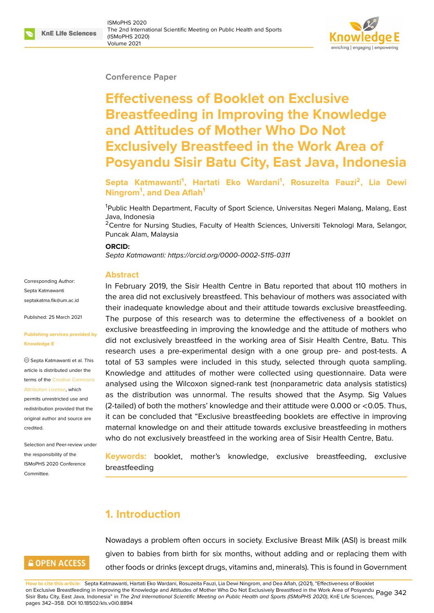#### **Conference Paper**

# **Effectiveness of Booklet on Exclusive Breastfeeding in Improving the Knowledge and Attitudes of Mother Who Do Not Exclusively Breastfeed in the Work Area of Posyandu Sisir Batu City, East Java, Indonesia**

### **Septa Katmawanti<sup>1</sup> , Hartati Eko Wardani<sup>1</sup> , Rosuzeita Fauzi<sup>2</sup> , Lia Dewi Ningrom<sup>1</sup> , and Dea Aflah<sup>1</sup>**

<sup>1</sup>Public Health Department, Faculty of Sport Science, Universitas Negeri Malang, Malang, East Java, Indonesia

<sup>2</sup>Centre for Nursing Studies, Faculty of Health Sciences, Universiti Teknologi Mara, Selangor, Puncak Alam, Malaysia

#### **ORCID:**

*Septa Katmawanti: https://orcid.org/0000-0002-5115-0311*

#### **Abstract**

In February 2019[, the Sisir Health Centre in Batu re](https://orcid.org/0000-0002-5115-0311)ported that about 110 mothers in the area did not exclusively breastfeed. This behaviour of mothers was associated with their inadequate knowledge about and their attitude towards exclusive breastfeeding. The purpose of this research was to determine the effectiveness of a booklet on exclusive breastfeeding in improving the knowledge and the attitude of mothers who did not exclusively breastfeed in the working area of Sisir Health Centre, Batu. This research uses a pre-experimental design with a one group pre- and post-tests. A total of 53 samples were included in this study, selected through quota sampling. Knowledge and attitudes of mother were collected using questionnaire. Data were analysed using the Wilcoxon signed-rank test (nonparametric data analysis statistics) as the distribution was unnormal. The results showed that the Asymp. Sig Values (2-tailed) of both the mothers' knowledge and their attitude were 0.000 or <0.05. Thus, it can be concluded that "Exclusive breastfeeding booklets are effective in improving maternal knowledge on and their attitude towards exclusive breastfeeding in mothers who do not exclusively breastfeed in the working area of Sisir Health Centre, Batu.

**Keywords:** booklet, mother's knowledge, exclusive breastfeeding, exclusive breastfeeding

# **1. Introduction**

# **GOPEN ACCESS**

Corresponding Author: Septa Katmawanti septakatma.fik@um.ac.id

Published: 25 March 2021

**Knowledge E**

[credited.](https://creativecommons.org/licenses/by/4.0/)

Committee.

**[Publishing services prov](mailto:septakatma.fik@um.ac.id)ided by**

Septa Katmawanti et al. This article is distributed under the terms of the Creative Commons Attribution License, which permits unrestricted use and redistribution provided that the original auth[or and source are](https://creativecommons.org/licenses/by/4.0/)

Selection and Peer-review under the responsibility of the ISMoPHS 2020 Conference

> Nowadays a problem often occurs in society. Exclusive Breast Milk (ASI) is breast milk given to babies from birth for six months, without adding and or replacing them with other foods or drinks (except drugs, vitamins and, minerals). This is found in Government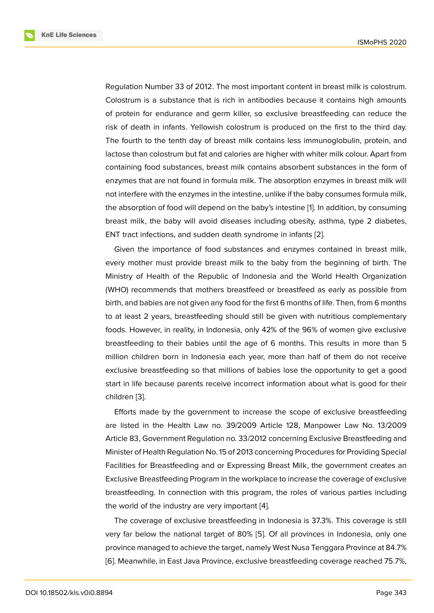Regulation Number 33 of 2012. The most important content in breast milk is colostrum. Colostrum is a substance that is rich in antibodies because it contains high amounts of protein for endurance and germ killer, so exclusive breastfeeding can reduce the risk of death in infants. Yellowish colostrum is produced on the first to the third day. The fourth to the tenth day of breast milk contains less immunoglobulin, protein, and lactose than colostrum but fat and calories are higher with whiter milk colour. Apart from containing food substances, breast milk contains absorbent substances in the form of enzymes that are not found in formula milk. The absorption enzymes in breast milk will not interfere with the enzymes in the intestine, unlike if the baby consumes formula milk, the absorption of food will depend on the baby's intestine [1]. In addition, by consuming breast milk, the baby will avoid diseases including obesity, asthma, type 2 diabetes, ENT tract infections, and sudden death syndrome in infants [2].

Given the importance of food substances and enzym[es](#page-14-0) contained in breast milk, every mother must provide breast milk to the baby from the beginning of birth. The Ministry of Health of the Republic of Indonesia and the [Wo](#page-14-1)rld Health Organization (WHO) recommends that mothers breastfeed or breastfeed as early as possible from birth, and babies are not given any food for the first 6 months of life. Then, from 6 months to at least 2 years, breastfeeding should still be given with nutritious complementary foods. However, in reality, in Indonesia, only 42% of the 96% of women give exclusive breastfeeding to their babies until the age of 6 months. This results in more than 5 million children born in Indonesia each year, more than half of them do not receive exclusive breastfeeding so that millions of babies lose the opportunity to get a good start in life because parents receive incorrect information about what is good for their children [3].

Efforts made by the government to increase the scope of exclusive breastfeeding are listed in the Health Law no. 39/2009 Article 128, Manpower Law No. 13/2009 Article 8[3,](#page-14-2) Government Regulation no. 33/2012 concerning Exclusive Breastfeeding and Minister of Health Regulation No. 15 of 2013 concerning Procedures for Providing Special Facilities for Breastfeeding and or Expressing Breast Milk, the government creates an Exclusive Breastfeeding Program in the workplace to increase the coverage of exclusive breastfeeding. In connection with this program, the roles of various parties including the world of the industry are very important [4].

The coverage of exclusive breastfeeding in Indonesia is 37.3%. This coverage is still very far below the national target of 80% [5]. Of all provinces in Indonesia, only one province managed to achieve the target, nam[el](#page-14-3)y West Nusa Tenggara Province at 84.7% [6]. Meanwhile, in East Java Province, exclusive breastfeeding coverage reached 75.7%,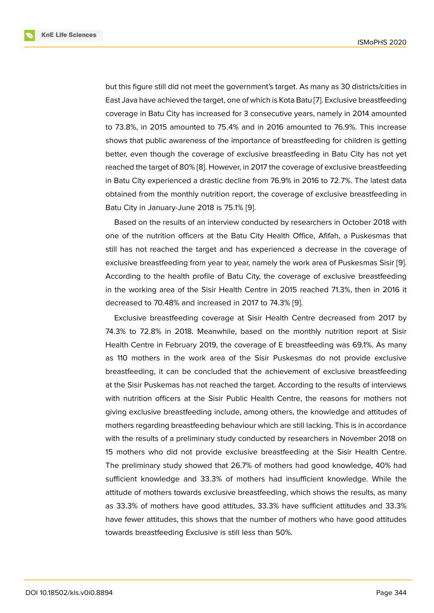but this figure still did not meet the government's target. As many as 30 districts/cities in East Java have achieved the target, one of which is Kota Batu [7]. Exclusive breastfeeding coverage in Batu City has increased for 3 consecutive years, namely in 2014 amounted to 73.8%, in 2015 amounted to 75.4% and in 2016 amounted to 76.9%. This increase shows that public awareness of the importance of breastfee[di](#page-14-5)ng for children is getting better, even though the coverage of exclusive breastfeeding in Batu City has not yet reached the target of 80% [8]. However, in 2017 the coverage of exclusive breastfeeding in Batu City experienced a drastic decline from 76.9% in 2016 to 72.7%. The latest data obtained from the monthly nutrition report, the coverage of exclusive breastfeeding in Batu City in January-June [20](#page-14-6)18 is 75.1% [9].

Based on the results of an interview conducted by researchers in October 2018 with one of the nutrition officers at the Batu City Health Office, Afifah, a Puskesmas that still has not reached the target and ha[s e](#page-14-7)xperienced a decrease in the coverage of exclusive breastfeeding from year to year, namely the work area of Puskesmas Sisir [9]. According to the health profile of Batu City, the coverage of exclusive breastfeeding in the working area of the Sisir Health Centre in 2015 reached 71.3%, then in 2016 it decreased to 70.48% and increased in 2017 to 74.3% [9].

Exclusive breastfeeding coverage at Sisir Health Centre decreased from 2017 by 74.3% to 72.8% in 2018. Meanwhile, based on the monthly nutrition report at Sisir Health Centre in February 2019, the coverage of E br[ea](#page-14-7)stfeeding was 69.1%. As many as 110 mothers in the work area of the Sisir Puskesmas do not provide exclusive breastfeeding, it can be concluded that the achievement of exclusive breastfeeding at the Sisir Puskemas has not reached the target. According to the results of interviews with nutrition officers at the Sisir Public Health Centre, the reasons for mothers not giving exclusive breastfeeding include, among others, the knowledge and attitudes of mothers regarding breastfeeding behaviour which are still lacking. This is in accordance with the results of a preliminary study conducted by researchers in November 2018 on 15 mothers who did not provide exclusive breastfeeding at the Sisir Health Centre. The preliminary study showed that 26.7% of mothers had good knowledge, 40% had sufficient knowledge and 33.3% of mothers had insufficient knowledge. While the attitude of mothers towards exclusive breastfeeding, which shows the results, as many as 33.3% of mothers have good attitudes, 33.3% have sufficient attitudes and 33.3% have fewer attitudes, this shows that the number of mothers who have good attitudes towards breastfeeding Exclusive is still less than 50%.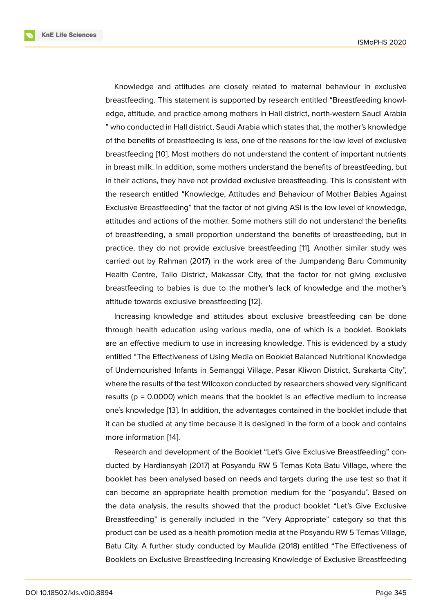Knowledge and attitudes are closely related to maternal behaviour in exclusive breastfeeding. This statement is supported by research entitled "Breastfeeding knowledge, attitude, and practice among mothers in Hall district, north-western Saudi Arabia " who conducted in Hall district, Saudi Arabia which states that, the mother's knowledge of the benefits of breastfeeding is less, one of the reasons for the low level of exclusive breastfeeding [10]. Most mothers do not understand the content of important nutrients in breast milk. In addition, some mothers understand the benefits of breastfeeding, but in their actions, they have not provided exclusive breastfeeding. This is consistent with the research e[nti](#page-15-0)tled "Knowledge, Attitudes and Behaviour of Mother Babies Against Exclusive Breastfeeding" that the factor of not giving ASI is the low level of knowledge, attitudes and actions of the mother. Some mothers still do not understand the benefits of breastfeeding, a small proportion understand the benefits of breastfeeding, but in practice, they do not provide exclusive breastfeeding [11]. Another similar study was carried out by Rahman (2017) in the work area of the Jumpandang Baru Community Health Centre, Tallo District, Makassar City, that the factor for not giving exclusive breastfeeding to babies is due to the mother's lack of [k](#page-15-1)nowledge and the mother's attitude towards exclusive breastfeeding [12].

Increasing knowledge and attitudes about exclusive breastfeeding can be done through health education using various media, one of which is a booklet. Booklets are an effective medium to use in increas[ing](#page-15-2) knowledge. This is evidenced by a study entitled "The Effectiveness of Using Media on Booklet Balanced Nutritional Knowledge of Undernourished Infants in Semanggi Village, Pasar Kliwon District, Surakarta City", where the results of the test Wilcoxon conducted by researchers showed very significant results ( $p = 0.0000$ ) which means that the booklet is an effective medium to increase one's knowledge [13]. In addition, the advantages contained in the booklet include that it can be studied at any time because it is designed in the form of a book and contains more information [14].

Research and d[ev](#page-15-3)elopment of the Booklet "Let's Give Exclusive Breastfeeding" conducted by Hardiansyah (2017) at Posyandu RW 5 Temas Kota Batu Village, where the booklet has been [an](#page-15-4)alysed based on needs and targets during the use test so that it can become an appropriate health promotion medium for the "posyandu". Based on the data analysis, the results showed that the product booklet "Let's Give Exclusive Breastfeeding" is generally included in the "Very Appropriate" category so that this product can be used as a health promotion media at the Posyandu RW 5 Temas Village, Batu City. A further study conducted by Maulida (2018) entitled "The Effectiveness of Booklets on Exclusive Breastfeeding Increasing Knowledge of Exclusive Breastfeeding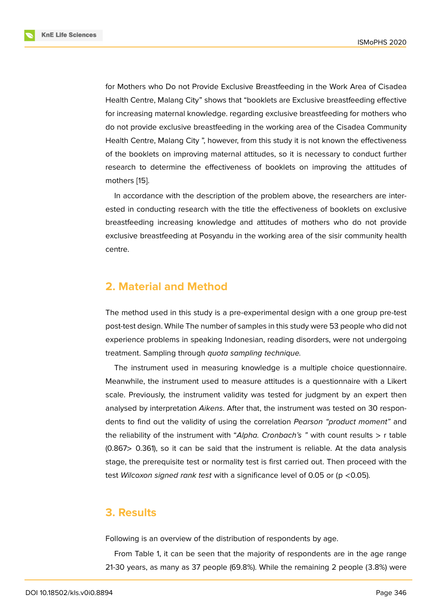for Mothers who Do not Provide Exclusive Breastfeeding in the Work Area of Cisadea Health Centre, Malang City" shows that "booklets are Exclusive breastfeeding effective for increasing maternal knowledge. regarding exclusive breastfeeding for mothers who do not provide exclusive breastfeeding in the working area of the Cisadea Community Health Centre, Malang City ", however, from this study it is not known the effectiveness of the booklets on improving maternal attitudes, so it is necessary to conduct further research to determine the effectiveness of booklets on improving the attitudes of mothers [15].

In accordance with the description of the problem above, the researchers are interested in conducting research with the title the effectiveness of booklets on exclusive breastfee[din](#page-15-5)g increasing knowledge and attitudes of mothers who do not provide exclusive breastfeeding at Posyandu in the working area of the sisir community health centre.

# **2. Material and Method**

The method used in this study is a pre-experimental design with a one group pre-test post-test design. While The number of samples in this study were 53 people who did not experience problems in speaking Indonesian, reading disorders, were not undergoing treatment. Sampling through *quota sampling technique.*

The instrument used in measuring knowledge is a multiple choice questionnaire. Meanwhile, the instrument used to measure attitudes is a questionnaire with a Likert scale. Previously, the instrument validity was tested for judgment by an expert then analysed by interpretation *Aikens*. After that, the instrument was tested on 30 respondents to find out the validity of using the correlation *Pearson "product moment"* and the reliability of the instrument with "*Alpha. Cronbach's "* with count results > r table (0.867> 0.361), so it can be said that the instrument is reliable. At the data analysis stage, the prerequisite test or normality test is first carried out. Then proceed with the test *Wilcoxon signed rank test* with a significance level of 0.05 or (p <0.05).

## **3. Results**

Following is an overview of the distribution of respondents by age.

From Table 1, it can be seen that the majority of respondents are in the age range 21-30 years, as many as 37 people (69.8%). While the remaining 2 people (3.8%) were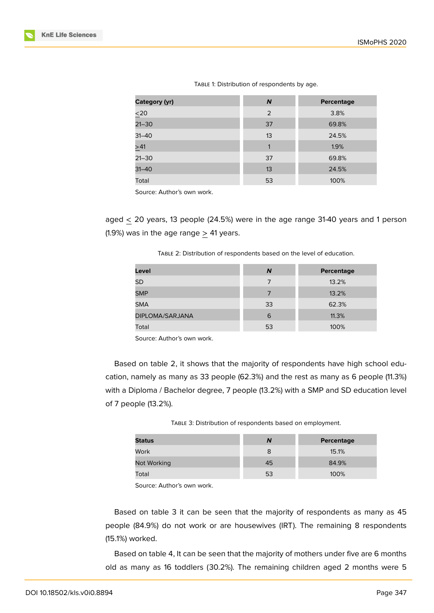| Category (yr) | N              | Percentage |
|---------------|----------------|------------|
| $\leq 20$     | $\overline{2}$ | 3.8%       |
| $21 - 30$     | 37             | 69.8%      |
| $31 - 40$     | 13             | 24.5%      |
| $\geq 41$     | 1              | 1.9%       |
| $21 - 30$     | 37             | 69.8%      |
| $31 - 40$     | 13             | 24.5%      |
| Total         | 53             | 100%       |
|               |                |            |

TABLE 1: Distribution of respondents by age.

Source: Author's own work.

aged < 20 years, 13 people (24.5%) were in the age range 31-40 years and 1 person (1.9%) was in the age range  $> 41$  years.

| TABLE 2: Distribution of respondents based on the level of education. |  |  |
|-----------------------------------------------------------------------|--|--|
|                                                                       |  |  |

| Level           | N  | Percentage |
|-----------------|----|------------|
| <b>SD</b>       | 7  | 13.2%      |
| <b>SMP</b>      |    | 13.2%      |
| <b>SMA</b>      | 33 | 62.3%      |
| DIPLOMA/SARJANA | 6  | 11.3%      |
| Total           | 53 | 100%       |

Source: Author's own work.

Based on table 2, it shows that the majority of respondents have high school education, namely as many as 33 people (62.3%) and the rest as many as 6 people (11.3%) with a Diploma / Bachelor degree, 7 people (13.2%) with a SMP and SD education level of 7 people (13.2%).

TABLE 3: Distribution of respondents based on employment.

| Ν  | Percentage |
|----|------------|
| 8  | 15.1%      |
| 45 | 84.9%      |
| 53 | 100%       |
|    |            |

Source: Author's own work.

Based on table 3 it can be seen that the majority of respondents as many as 45 people (84.9%) do not work or are housewives (IRT). The remaining 8 respondents (15.1%) worked.

Based on table 4, It can be seen that the majority of mothers under five are 6 months old as many as 16 toddlers (30.2%). The remaining children aged 2 months were 5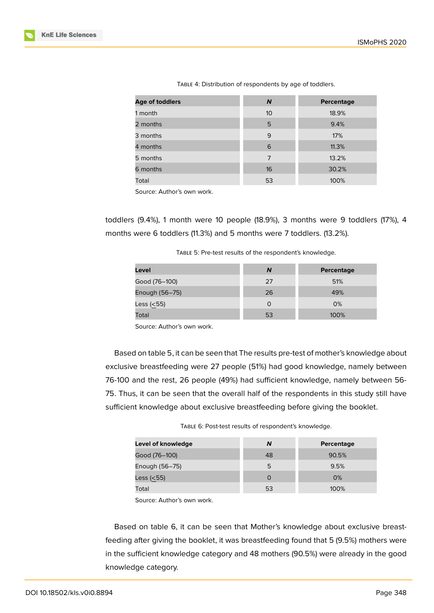| Age of toddlers | $\boldsymbol{N}$ | Percentage |
|-----------------|------------------|------------|
| 1 month         | 10 <sup>1</sup>  | 18.9%      |
| 2 months        | 5                | 9.4%       |
| 3 months        | 9                | 17%        |
| 4 months        | 6                | 11.3%      |
| 5 months        | 7                | 13.2%      |
| 6 months        | 16               | 30.2%      |
| Total           | 53               | 100%       |

TABLE 4: Distribution of respondents by age of toddlers.

Source: Author's own work.

toddlers (9.4%), 1 month were 10 people (18.9%), 3 months were 9 toddlers (17%), 4 months were 6 toddlers (11.3%) and 5 months were 7 toddlers. (13.2%).

| TABLE 5: Pre-test results of the respondent's knowledge. |  |
|----------------------------------------------------------|--|
|----------------------------------------------------------|--|

| Level          | N  | Percentage |
|----------------|----|------------|
| Good (76–100)  | 27 | 51%        |
| Enough (56-75) | 26 | 49%        |
| Less $(55)$    |    | 0%         |
| Total          | 53 | 100%       |

Source: Author's own work.

Based on table 5, it can be seen that The results pre-test of mother's knowledge about exclusive breastfeeding were 27 people (51%) had good knowledge, namely between 76-100 and the rest, 26 people (49%) had sufficient knowledge, namely between 56- 75. Thus, it can be seen that the overall half of the respondents in this study still have sufficient knowledge about exclusive breastfeeding before giving the booklet.

TABLE 6: Post-test results of respondent's knowledge.

| Level of knowledge | N        | Percentage |
|--------------------|----------|------------|
| Good (76–100)      | 48       | 90.5%      |
| Enough (56-75)     | 5        | 9.5%       |
| Less $(55)$        | $\Omega$ | 0%         |
| Total              | 53       | 100%       |

Source: Author's own work.

Based on table 6, it can be seen that Mother's knowledge about exclusive breastfeeding after giving the booklet, it was breastfeeding found that 5 (9.5%) mothers were in the sufficient knowledge category and 48 mothers (90.5%) were already in the good knowledge category.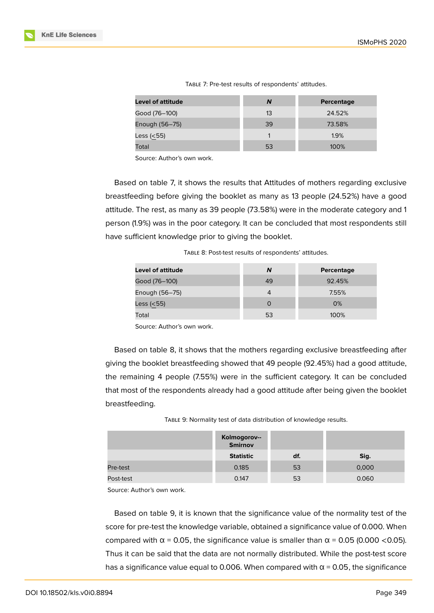| <b>Level of attitude</b> | N  | Percentage |
|--------------------------|----|------------|
| Good (76–100)            | 13 | 24.52%     |
| Enough (56-75)           | 39 | 73.58%     |
| Less (<55)               |    | 1.9%       |
| Total                    | 53 | 100%       |

TABLE 7: Pre-test results of respondents' attitudes.

Source: Author's own work.

Based on table 7, it shows the results that Attitudes of mothers regarding exclusive breastfeeding before giving the booklet as many as 13 people (24.52%) have a good attitude. The rest, as many as 39 people (73.58%) were in the moderate category and 1 person (1.9%) was in the poor category. It can be concluded that most respondents still have sufficient knowledge prior to giving the booklet.

TABLE 8: Post-test results of respondents' attitudes.

| Level of attitude | N        | Percentage |
|-------------------|----------|------------|
| Good (76–100)     | 49       | 92.45%     |
| Enough (56-75)    | 4        | 7.55%      |
| Less $(55)$       | $\Omega$ | $O\%$      |
| Total             | 53       | 100%       |

Source: Author's own work.

Based on table 8, it shows that the mothers regarding exclusive breastfeeding after giving the booklet breastfeeding showed that 49 people (92.45%) had a good attitude, the remaining 4 people (7.55%) were in the sufficient category. It can be concluded that most of the respondents already had a good attitude after being given the booklet breastfeeding.

|           | Kolmogorov--<br><b>Smirnov</b> |     |       |
|-----------|--------------------------------|-----|-------|
|           | <b>Statistic</b>               | df. | Sig.  |
| Pre-test  | 0.185                          | 53  | 0,000 |
| Post-test | 0.147                          | 53  | 0.060 |

TABLE 9: Normality test of data distribution of knowledge results.

Source: Author's own work.

Based on table 9, it is known that the significance value of the normality test of the score for pre-test the knowledge variable, obtained a significance value of 0.000. When compared with  $α = 0.05$ , the significance value is smaller than  $α = 0.05$  (0.000 <0.05). Thus it can be said that the data are not normally distributed. While the post-test score has a significance value equal to 0.006. When compared with  $\alpha$  = 0.05, the significance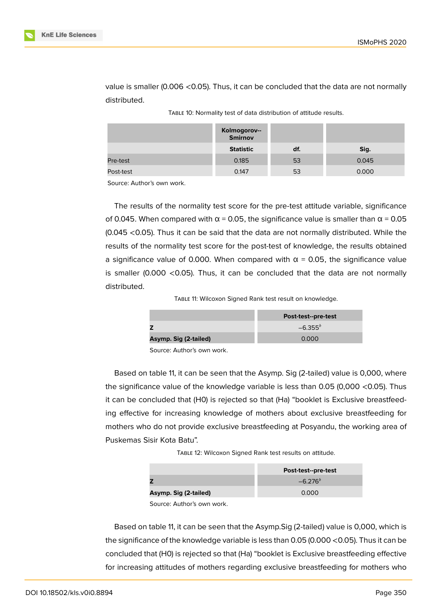|           | Kolmogorov--<br>Smirnov |     |       |
|-----------|-------------------------|-----|-------|
|           | <b>Statistic</b>        | df. | Sig.  |
| Pre-test  | 0.185                   | 53  | 0.045 |
| Post-test | 0.147                   | 53  | 0.000 |

value is smaller (0.006 <0.05). Thus, it can be concluded that the data are not normally distributed.

| TABLE 10: Normality test of data distribution of attitude results. |
|--------------------------------------------------------------------|
|                                                                    |

Source: Author's own work.

The results of the normality test score for the pre-test attitude variable, significance of 0.045. When compared with  $\alpha$  = 0.05, the significance value is smaller than  $\alpha$  = 0.05 (0.045 <0.05). Thus it can be said that the data are not normally distributed. While the results of the normality test score for the post-test of knowledge, the results obtained a significance value of 0.000. When compared with  $\alpha$  = 0.05, the significance value is smaller (0.000  $\leq$  0.05). Thus, it can be concluded that the data are not normally distributed.

TABLE 11: Wilcoxon Signed Rank test result on knowledge.

|                       | Post-test--pre-test |
|-----------------------|---------------------|
|                       | $-6.355^{b}$        |
| Asymp. Sig (2-tailed) | 0.000               |

Source: Author's own work.

Based on table 11, it can be seen that the Asymp. Sig (2-tailed) value is 0,000, where the significance value of the knowledge variable is less than 0.05 (0,000 <0.05). Thus it can be concluded that (H0) is rejected so that (Ha) "booklet is Exclusive breastfeeding effective for increasing knowledge of mothers about exclusive breastfeeding for mothers who do not provide exclusive breastfeeding at Posyandu, the working area of Puskemas Sisir Kota Batu".

TABLE 12: Wilcoxon Signed Rank test results on attitude.

|                       | Post-test--pre-test |
|-----------------------|---------------------|
|                       | $-6.276^{b}$        |
| Asymp. Sig (2-tailed) | 0.000               |

Source: Author's own work.

Based on table 11, it can be seen that the Asymp.Sig (2-tailed) value is 0,000, which is the significance of the knowledge variable is less than 0.05 (0.000 <0.05). Thus it can be concluded that (H0) is rejected so that (Ha) "booklet is Exclusive breastfeeding effective for increasing attitudes of mothers regarding exclusive breastfeeding for mothers who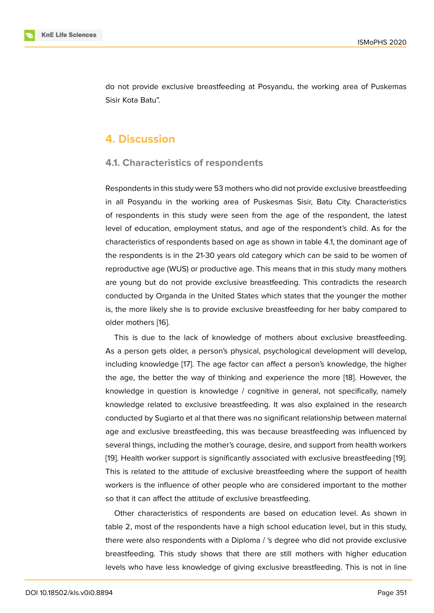do not provide exclusive breastfeeding at Posyandu, the working area of Puskemas Sisir Kota Batu".

# **4. Discussion**

#### **4.1. Characteristics of respondents**

Respondents in this study were 53 mothers who did not provide exclusive breastfeeding in all Posyandu in the working area of Puskesmas Sisir, Batu City. Characteristics of respondents in this study were seen from the age of the respondent, the latest level of education, employment status, and age of the respondent's child. As for the characteristics of respondents based on age as shown in table 4.1, the dominant age of the respondents is in the 21-30 years old category which can be said to be women of reproductive age (WUS) or productive age. This means that in this study many mothers are young but do not provide exclusive breastfeeding. This contradicts the research conducted by Organda in the United States which states that the younger the mother is, the more likely she is to provide exclusive breastfeeding for her baby compared to older mothers [16].

This is due to the lack of knowledge of mothers about exclusive breastfeeding. As a person gets older, a person's physical, psychological development will develop, including kno[wled](#page-15-6)ge [17]. The age factor can affect a person's knowledge, the higher the age, the better the way of thinking and experience the more [18]. However, the knowledge in question is knowledge / cognitive in general, not specifically, namely knowledge related to [ex](#page-15-7)clusive breastfeeding. It was also explained in the research conducted by Sugiarto et al that there was no significant relationship [be](#page-15-8)tween maternal age and exclusive breastfeeding, this was because breastfeeding was influenced by several things, including the mother's courage, desire, and support from health workers [19]. Health worker support is significantly associated with exclusive breastfeeding [19]. This is related to the attitude of exclusive breastfeeding where the support of health workers is the influence of other people who are considered important to the mother [so](#page-15-9) that it can affect the attitude of exclusive breastfeeding.

Other characteristics of respondents are based on education level. As shown in table 2, most of the respondents have a high school education level, but in this study, there were also respondents with a Diploma / 's degree who did not provide exclusive breastfeeding. This study shows that there are still mothers with higher education levels who have less knowledge of giving exclusive breastfeeding. This is not in line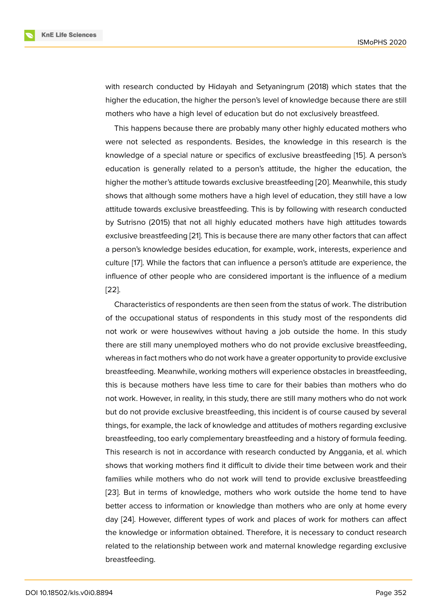with research conducted by Hidayah and Setyaningrum (2018) which states that the higher the education, the higher the person's level of knowledge because there are still mothers who have a high level of education but do not exclusively breastfeed.

This happens because there are probably many other highly educated mothers who were not selected as respondents. Besides, the knowledge in this research is the knowledge of a special nature or specifics of exclusive breastfeeding [15]. A person's education is generally related to a person's attitude, the higher the education, the higher the mother's attitude towards exclusive breastfeeding [20]. Meanwhile, this study shows that although some mothers have a high level of education, they [sti](#page-15-5)ll have a low attitude towards exclusive breastfeeding. This is by following with research conducted by Sutrisno (2015) that not all highly educated mothers ha[ve](#page-15-10) high attitudes towards exclusive breastfeeding [21]. This is because there are many other factors that can affect a person's knowledge besides education, for example, work, interests, experience and culture [17]. While the factors that can influence a person's attitude are experience, the influence of other peopl[e w](#page-16-0)ho are considered important is the influence of a medium [22].

Char[act](#page-15-7)eristics of respondents are then seen from the status of work. The distribution of the occupational status of respondents in this study most of the respondents did [not](#page-16-1) work or were housewives without having a job outside the home. In this study there are still many unemployed mothers who do not provide exclusive breastfeeding, whereas in fact mothers who do not work have a greater opportunity to provide exclusive breastfeeding. Meanwhile, working mothers will experience obstacles in breastfeeding, this is because mothers have less time to care for their babies than mothers who do not work. However, in reality, in this study, there are still many mothers who do not work but do not provide exclusive breastfeeding, this incident is of course caused by several things, for example, the lack of knowledge and attitudes of mothers regarding exclusive breastfeeding, too early complementary breastfeeding and a history of formula feeding. This research is not in accordance with research conducted by Anggania, et al. which shows that working mothers find it difficult to divide their time between work and their families while mothers who do not work will tend to provide exclusive breastfeeding [23]. But in terms of knowledge, mothers who work outside the home tend to have better access to information or knowledge than mothers who are only at home every day [24]. However, different types of work and places of work for mothers can affect [the](#page-16-2) knowledge or information obtained. Therefore, it is necessary to conduct research related to the relationship between work and maternal knowledge regarding exclusive brea[stfe](#page-16-3)eding.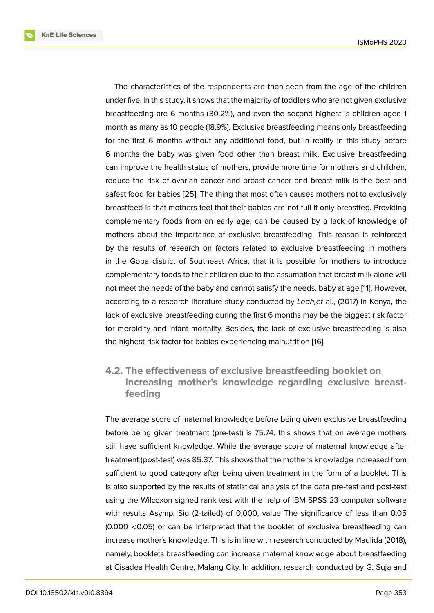The characteristics of the respondents are then seen from the age of the children under five. In this study, it shows that the majority of toddlers who are not given exclusive breastfeeding are 6 months (30.2%), and even the second highest is children aged 1 month as many as 10 people (18.9%). Exclusive breastfeeding means only breastfeeding for the first 6 months without any additional food, but in reality in this study before 6 months the baby was given food other than breast milk. Exclusive breastfeeding can improve the health status of mothers, provide more time for mothers and children, reduce the risk of ovarian cancer and breast cancer and breast milk is the best and safest food for babies [25]. The thing that most often causes mothers not to exclusively breastfeed is that mothers feel that their babies are not full if only breastfed. Providing complementary foods from an early age, can be caused by a lack of knowledge of mothers about the im[por](#page-16-4)tance of exclusive breastfeeding. This reason is reinforced by the results of research on factors related to exclusive breastfeeding in mothers in the Goba district of Southeast Africa, that it is possible for mothers to introduce complementary foods to their children due to the assumption that breast milk alone will not meet the needs of the baby and cannot satisfy the needs. baby at age [11]. However, according to a research literature study conducted by *Leah,et* al., (2017) in Kenya, the lack of exclusive breastfeeding during the first 6 months may be the biggest risk factor for morbidity and infant mortality. Besides, the lack of exclusive breastfe[ed](#page-15-1)ing is also the highest risk factor for babies experiencing malnutrition [16].

# **4.2. The effectiveness of exclusive breastfeeding booklet on increasing mother's knowledge regardi[ng](#page-15-6) exclusive breastfeeding**

The average score of maternal knowledge before being given exclusive breastfeeding before being given treatment (pre-test) is 75.74, this shows that on average mothers still have sufficient knowledge. While the average score of maternal knowledge after treatment (post-test) was 85.37. This shows that the mother's knowledge increased from sufficient to good category after being given treatment in the form of a booklet. This is also supported by the results of statistical analysis of the data pre-test and post-test using the Wilcoxon signed rank test with the help of IBM SPSS 23 computer software with results Asymp. Sig (2-tailed) of 0,000, value The significance of less than 0.05 (0.000 <0.05) or can be interpreted that the booklet of exclusive breastfeeding can increase mother's knowledge. This is in line with research conducted by Maulida (2018), namely, booklets breastfeeding can increase maternal knowledge about breastfeeding at Cisadea Health Centre, Malang City. In addition, research conducted by G. Suja and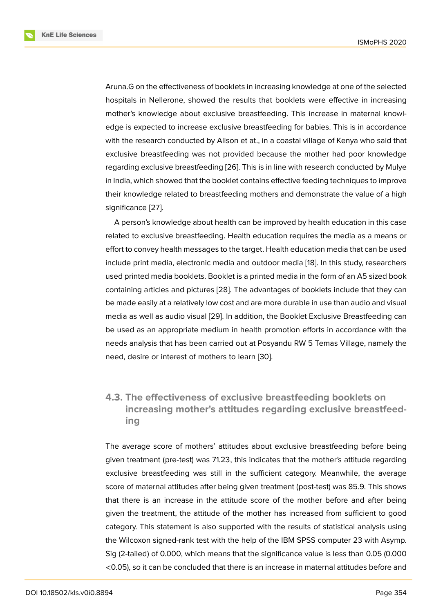Aruna.G on the effectiveness of booklets in increasing knowledge at one of the selected hospitals in Nellerone, showed the results that booklets were effective in increasing mother's knowledge about exclusive breastfeeding. This increase in maternal knowledge is expected to increase exclusive breastfeeding for babies. This is in accordance with the research conducted by Alison et at., in a coastal village of Kenya who said that exclusive breastfeeding was not provided because the mother had poor knowledge regarding exclusive breastfeeding [26]. This is in line with research conducted by Mulye in India, which showed that the booklet contains effective feeding techniques to improve their knowledge related to breastfeeding mothers and demonstrate the value of a high significance [27].

A person's knowledge about health can be improved by health education in this case related to exclusive breastfeeding. Health education requires the media as a means or effort to conv[ey](#page-16-5) health messages to the target. Health education media that can be used include print media, electronic media and outdoor media [18]. In this study, researchers used printed media booklets. Booklet is a printed media in the form of an A5 sized book containing articles and pictures [28]. The advantages of booklets include that they can be made easily at a relatively low cost and are more durabl[e in](#page-15-8) use than audio and visual media as well as audio visual [29]. In addition, the Booklet Exclusive Breastfeeding can be used as an appropriate medi[um](#page-16-6) in health promotion efforts in accordance with the needs analysis that has been carried out at Posyandu RW 5 Temas Village, namely the need, desire or interest of mo[the](#page-16-7)rs to learn [30].

# **4.3. The effectiveness of exclusiv[e b](#page-16-8)reastfeeding booklets on increasing mother's attitudes regarding exclusive breastfeeding**

The average score of mothers' attitudes about exclusive breastfeeding before being given treatment (pre-test) was 71.23, this indicates that the mother's attitude regarding exclusive breastfeeding was still in the sufficient category. Meanwhile, the average score of maternal attitudes after being given treatment (post-test) was 85.9. This shows that there is an increase in the attitude score of the mother before and after being given the treatment, the attitude of the mother has increased from sufficient to good category. This statement is also supported with the results of statistical analysis using the Wilcoxon signed-rank test with the help of the IBM SPSS computer 23 with Asymp. Sig (2-tailed) of 0.000, which means that the significance value is less than 0.05 (0.000 <0.05), so it can be concluded that there is an increase in maternal attitudes before and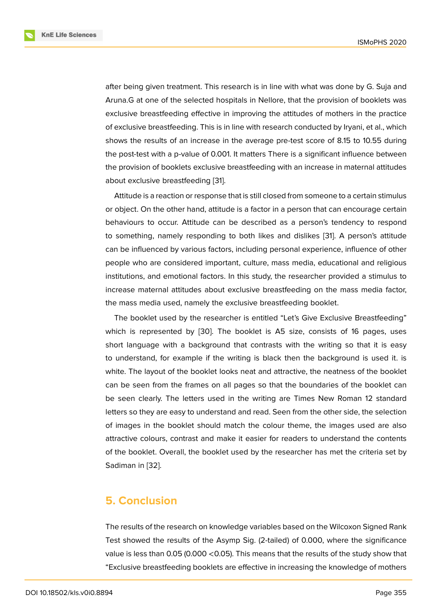after being given treatment. This research is in line with what was done by G. Suja and Aruna.G at one of the selected hospitals in Nellore, that the provision of booklets was exclusive breastfeeding effective in improving the attitudes of mothers in the practice of exclusive breastfeeding. This is in line with research conducted by Iryani, et al., which shows the results of an increase in the average pre-test score of 8.15 to 10.55 during the post-test with a p-value of 0.001. It matters There is a significant influence between the provision of booklets exclusive breastfeeding with an increase in maternal attitudes about exclusive breastfeeding [31].

Attitude is a reaction or response that is still closed from someone to a certain stimulus or object. On the other hand, attitude is a factor in a person that can encourage certain behaviours to occur. Attitude [can](#page-16-9) be described as a person's tendency to respond to something, namely responding to both likes and dislikes [31]. A person's attitude can be influenced by various factors, including personal experience, influence of other people who are considered important, culture, mass media, educational and religious institutions, and emotional factors. In this study, the researche[r p](#page-16-9)rovided a stimulus to increase maternal attitudes about exclusive breastfeeding on the mass media factor, the mass media used, namely the exclusive breastfeeding booklet.

The booklet used by the researcher is entitled "Let's Give Exclusive Breastfeeding" which is represented by [30]. The booklet is A5 size, consists of 16 pages, uses short language with a background that contrasts with the writing so that it is easy to understand, for example if the writing is black then the background is used it. is white. The layout of the bo[okl](#page-16-8)et looks neat and attractive, the neatness of the booklet can be seen from the frames on all pages so that the boundaries of the booklet can be seen clearly. The letters used in the writing are Times New Roman 12 standard letters so they are easy to understand and read. Seen from the other side, the selection of images in the booklet should match the colour theme, the images used are also attractive colours, contrast and make it easier for readers to understand the contents of the booklet. Overall, the booklet used by the researcher has met the criteria set by Sadiman in [32].

## **5. Conc[lus](#page-16-10)ion**

The results of the research on knowledge variables based on the Wilcoxon Signed Rank Test showed the results of the Asymp Sig. (2-tailed) of 0.000, where the significance value is less than 0.05 (0.000 <0.05). This means that the results of the study show that "Exclusive breastfeeding booklets are effective in increasing the knowledge of mothers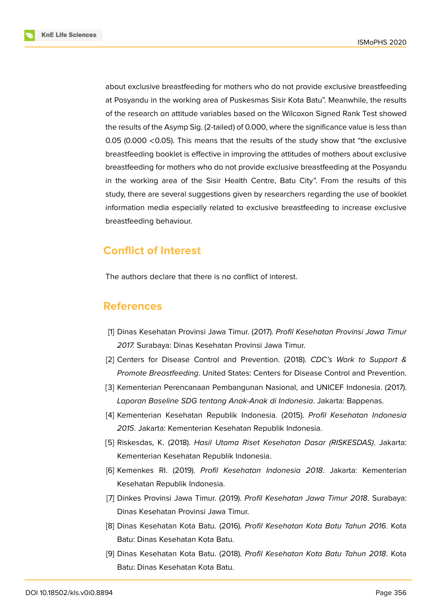**KnE Life Sciences** 



about exclusive breastfeeding for mothers who do not provide exclusive breastfeeding at Posyandu in the working area of Puskesmas Sisir Kota Batu". Meanwhile, the results of the research on attitude variables based on the Wilcoxon Signed Rank Test showed the results of the Asymp Sig. (2-tailed) of 0.000, where the significance value is less than 0.05 (0.000 <0.05). This means that the results of the study show that "the exclusive breastfeeding booklet is effective in improving the attitudes of mothers about exclusive breastfeeding for mothers who do not provide exclusive breastfeeding at the Posyandu in the working area of the Sisir Health Centre, Batu City". From the results of this study, there are several suggestions given by researchers regarding the use of booklet information media especially related to exclusive breastfeeding to increase exclusive breastfeeding behaviour.

# **Conflict of Interest**

The authors declare that there is no conflict of interest.

# **References**

- <span id="page-14-0"></span>[1] Dinas Kesehatan Provinsi Jawa Timur. (2017). *Profil Kesehatan Provinsi Jawa Timur 2017.* Surabaya: Dinas Kesehatan Provinsi Jawa Timur.
- <span id="page-14-1"></span>[2] Centers for Disease Control and Prevention. (2018). *CDC's Work to Support & Promote Breastfeeding*. United States: Centers for Disease Control and Prevention.
- <span id="page-14-2"></span>[3] Kementerian Perencanaan Pembangunan Nasional, and UNICEF Indonesia. (2017). *Laporan Baseline SDG tentang Anak-Anak di Indonesia*. Jakarta: Bappenas.
- <span id="page-14-3"></span>[4] Kementerian Kesehatan Republik Indonesia. (2015). *Profil Kesehatan Indonesia 2015*. Jakarta: Kementerian Kesehatan Republik Indonesia.
- [5] Riskesdas, K. (2018). *Hasil Utama Riset Kesehatan Dasar (RISKESDAS)*. Jakarta: Kementerian Kesehatan Republik Indonesia.
- <span id="page-14-4"></span>[6] Kemenkes RI. (2019). *Profil Kesehatan Indonesia 2018*. Jakarta: Kementerian Kesehatan Republik Indonesia.
- <span id="page-14-5"></span>[7] Dinkes Provinsi Jawa Timur. (2019). *Profil Kesehatan Jawa Timur 2018*. Surabaya: Dinas Kesehatan Provinsi Jawa Timur.
- <span id="page-14-6"></span>[8] Dinas Kesehatan Kota Batu. (2016). *Profil Kesehatan Kota Batu Tahun 2016*. Kota Batu: Dinas Kesehatan Kota Batu.
- <span id="page-14-7"></span>[9] Dinas Kesehatan Kota Batu. (2018). *Profil Kesehatan Kota Batu Tahun 2018*. Kota Batu: Dinas Kesehatan Kota Batu.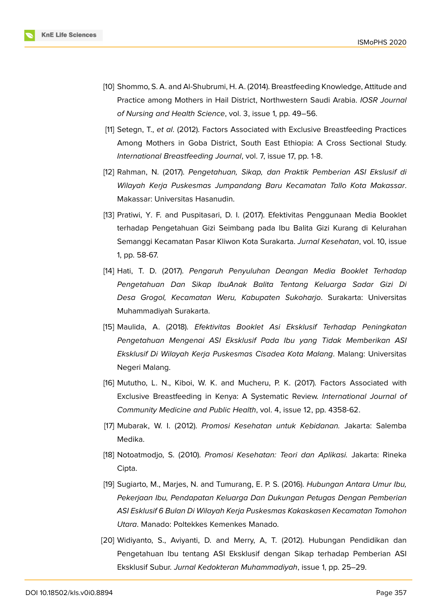

- <span id="page-15-0"></span>[10] Shommo, S. A. and Al-Shubrumi, H. A. (2014). Breastfeeding Knowledge, Attitude and Practice among Mothers in Hail District, Northwestern Saudi Arabia. *IOSR Journal of Nursing and Health Science*, vol. 3, issue 1, pp. 49–56.
- <span id="page-15-1"></span>[11] Setegn, T., *et al*. (2012). Factors Associated with Exclusive Breastfeeding Practices Among Mothers in Goba District, South East Ethiopia: A Cross Sectional Study. *International Breastfeeding Journal*, vol. 7, issue 17, pp. 1-8.
- <span id="page-15-2"></span>[12] Rahman, N. (2017). *Pengetahuan, Sikap, dan Praktik Pemberian ASI Ekslusif di Wilayah Kerja Puskesmas Jumpandang Baru Kecamatan Tallo Kota Makassar*. Makassar: Universitas Hasanudin.
- <span id="page-15-3"></span>[13] Pratiwi, Y. F. and Puspitasari, D. I. (2017). Efektivitas Penggunaan Media Booklet terhadap Pengetahuan Gizi Seimbang pada Ibu Balita Gizi Kurang di Kelurahan Semanggi Kecamatan Pasar Kliwon Kota Surakarta. *Jurnal Kesehatan*, vol. 10, issue 1, pp. 58-67.
- <span id="page-15-4"></span>[14] Hati, T. D. (2017). *Pengaruh Penyuluhan Deangan Media Booklet Terhadap Pengetahuan Dan Sikap IbuAnak Balita Tentang Keluarga Sadar Gizi Di Desa Grogol, Kecamatan Weru, Kabupaten Sukoharjo*. Surakarta: Universitas Muhammadiyah Surakarta.
- <span id="page-15-5"></span>[15] Maulida, A. (2018). *Efektivitas Booklet Asi Eksklusif Terhadap Peningkatan Pengetahuan Mengenai ASI Eksklusif Pada Ibu yang Tidak Memberikan ASI Eksklusif Di Wilayah Kerja Puskesmas Cisadea Kota Malang*. Malang: Universitas Negeri Malang.
- <span id="page-15-6"></span>[16] Mututho, L. N., Kiboi, W. K. and Mucheru, P. K. (2017). Factors Associated with Exclusive Breastfeeding in Kenya: A Systematic Review. *International Journal of Community Medicine and Public Health*, vol. 4, issue 12, pp. 4358-62.
- <span id="page-15-7"></span>[17] Mubarak, W. I. (2012). *Promosi Kesehatan untuk Kebidanan.* Jakarta: Salemba Medika.
- <span id="page-15-8"></span>[18] Notoatmodjo, S. (2010). *Promosi Kesehatan: Teori dan Aplikasi.* Jakarta: Rineka Cipta.
- <span id="page-15-9"></span>[19] Sugiarto, M., Marjes, N. and Tumurang, E. P. S. (2016). *Hubungan Antara Umur Ibu, Pekerjaan Ibu, Pendapatan Keluarga Dan Dukungan Petugas Dengan Pemberian ASI Esklusif 6 Bulan Di Wilayah Kerja Puskesmas Kakaskasen Kecamatan Tomohon Utara*. Manado: Poltekkes Kemenkes Manado.
- <span id="page-15-10"></span>[20] Widiyanto, S., Aviyanti, D. and Merry, A, T. (2012). Hubungan Pendidikan dan Pengetahuan Ibu tentang ASI Eksklusif dengan Sikap terhadap Pemberian ASI Eksklusif Subur. *Jurnal Kedokteran Muhammadiyah*, issue 1, pp. 25–29.